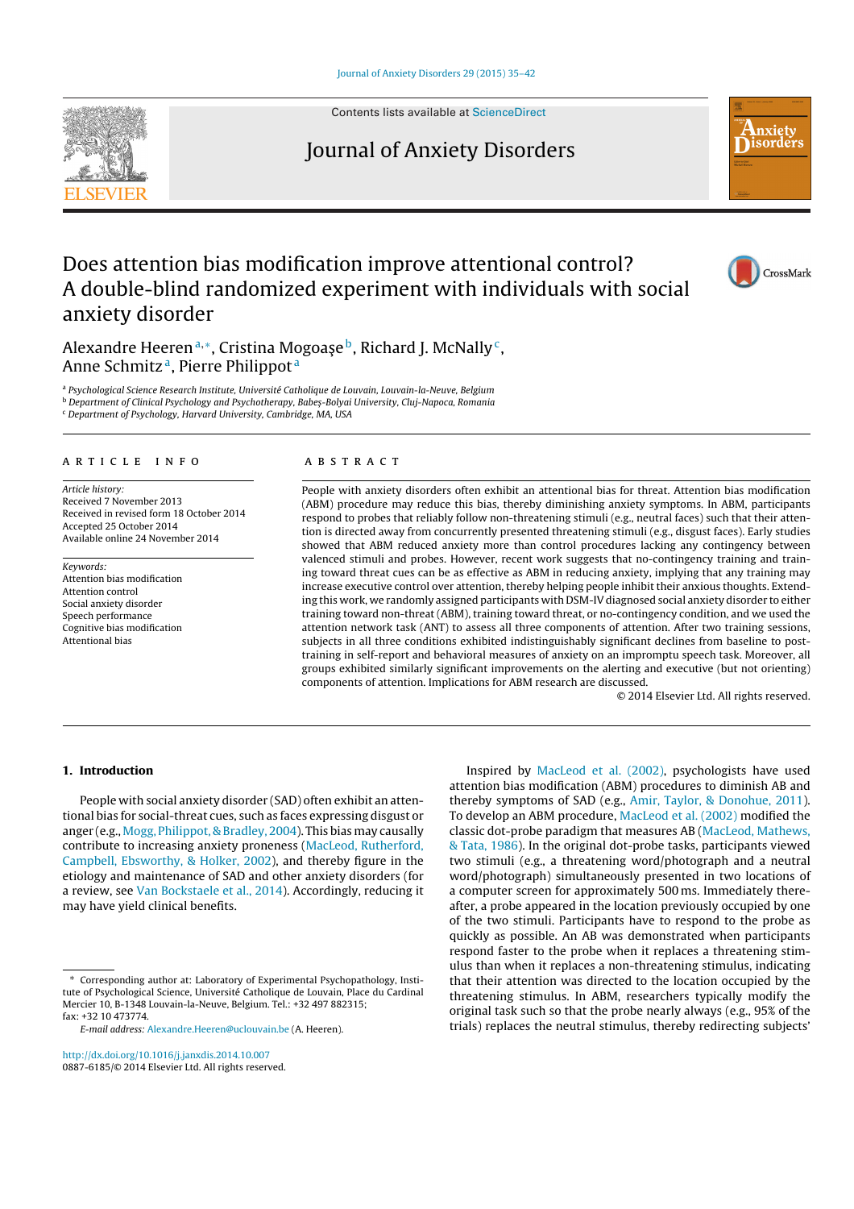#### Journal of Anxiety Disorders 29 (2015) 35–42



Contents lists available at ScienceDirect

## Journal of Anxiety Disorders



CrossMark

# Does attention bias modification improve attentional control? A double-blind randomized experiment with individuals with social anxiety disorder

Alexandre Heeren<sup>a,\*</sup>, Cristina Mogoase<sup>b</sup>, Richard J. McNally<sup>c</sup>, Anne Schmitz a, Pierre Philippot <sup>a</sup>

a Psychological Science Research Institute, Université Catholique de Louvain, Louvain-la-Neuve, Belgium

**b Department of Clinical Psychology and Psychotherapy, Babes-Bolyai University, Cluj-Napoca, Romania** 

<sup>c</sup> Department of Psychology, Harvard University, Cambridge, MA, USA

## a r t i c l e i n f o

Article history: Received 7 November 2013 Received in revised form 18 October 2014 Accepted 25 October 2014 Available online 24 November 2014

Keywords: Attention bias modification Attention control Social anxiety disorder Speech performance Cognitive bias modification Attentional bias

## A B S T R A C T

People with anxiety disorders often exhibit an attentional bias for threat. Attention bias modification (ABM) procedure may reduce this bias, thereby diminishing anxiety symptoms. In ABM, participants respond to probes that reliably follow non-threatening stimuli (e.g., neutral faces) such that their attention is directed away from concurrently presented threatening stimuli (e.g., disgust faces). Early studies showed that ABM reduced anxiety more than control procedures lacking any contingency between valenced stimuli and probes. However, recent work suggests that no-contingency training and training toward threat cues can be as effective as ABM in reducing anxiety, implying that any training may increase executive control over attention, thereby helping people inhibit their anxious thoughts. Extending this work, we randomly assigned participants with DSM-IV diagnosed social anxiety disorder to either training toward non-threat (ABM), training toward threat, or no-contingency condition, and we used the attention network task (ANT) to assess all three components of attention. After two training sessions, subjects in all three conditions exhibited indistinguishably significant declines from baseline to posttraining in self-report and behavioral measures of anxiety on an impromptu speech task. Moreover, all groups exhibited similarly significant improvements on the alerting and executive (but not orienting) components of attention. Implications for ABM research are discussed.

© 2014 Elsevier Ltd. All rights reserved.

## 1. Introduction

People with social anxiety disorder (SAD) often exhibit an attentional bias for social-threat cues, such as faces expressing disgust or anger (e.g., Mogg, Philippot, & Bradley, 2004). This bias may causally contribute to increasing anxiety proneness (MacLeod, Rutherford, Campbell, Ebsworthy, & Holker, 2002), and thereby figure in the etiology and maintenance of SAD and other anxiety disorders (for a review, see Van Bockstaele et al., 2014). Accordingly, reducing it may have yield clinical benefits.

http://dx.doi.org/10.1016/j.janxdis.2014.10.007 0887-6185/© 2014 Elsevier Ltd. All rights reserved.

Inspired by MacLeod et al. (2002), psychologists have used attention bias modification (ABM) procedures to diminish AB and thereby symptoms of SAD (e.g., Amir, Taylor, & Donohue, 2011). To develop an ABM procedure, MacLeod et al. (2002) modified the classic dot-probe paradigm that measures AB (MacLeod, Mathews, & Tata, 1986). In the original dot-probe tasks, participants viewed two stimuli (e.g., a threatening word/photograph and a neutral word/photograph) simultaneously presented in two locations of a computer screen for approximately 500 ms. Immediately thereafter, a probe appeared in the location previously occupied by one of the two stimuli. Participants have to respond to the probe as quickly as possible. An AB was demonstrated when participants respond faster to the probe when it replaces a threatening stimulus than when it replaces a non-threatening stimulus, indicating that their attention was directed to the location occupied by the threatening stimulus. In ABM, researchers typically modify the original task such so that the probe nearly always (e.g., 95% of the trials) replaces the neutral stimulus, thereby redirecting subjects'

<sup>∗</sup> Corresponding author at: Laboratory of Experimental Psychopathology, Institute of Psychological Science, Université [Catholique](dx.doi.org/10.1016/j.janxdis.2014.10.007) de Louvain, Place du Cardinal Mercier 10, B-1348 Louvain-la-Neuve, Belgium. Tel.: +32 497 882315; fax: +32 10 473774.

E-mail address: Alexandre.Heeren@uclouvain.be (A. Heeren).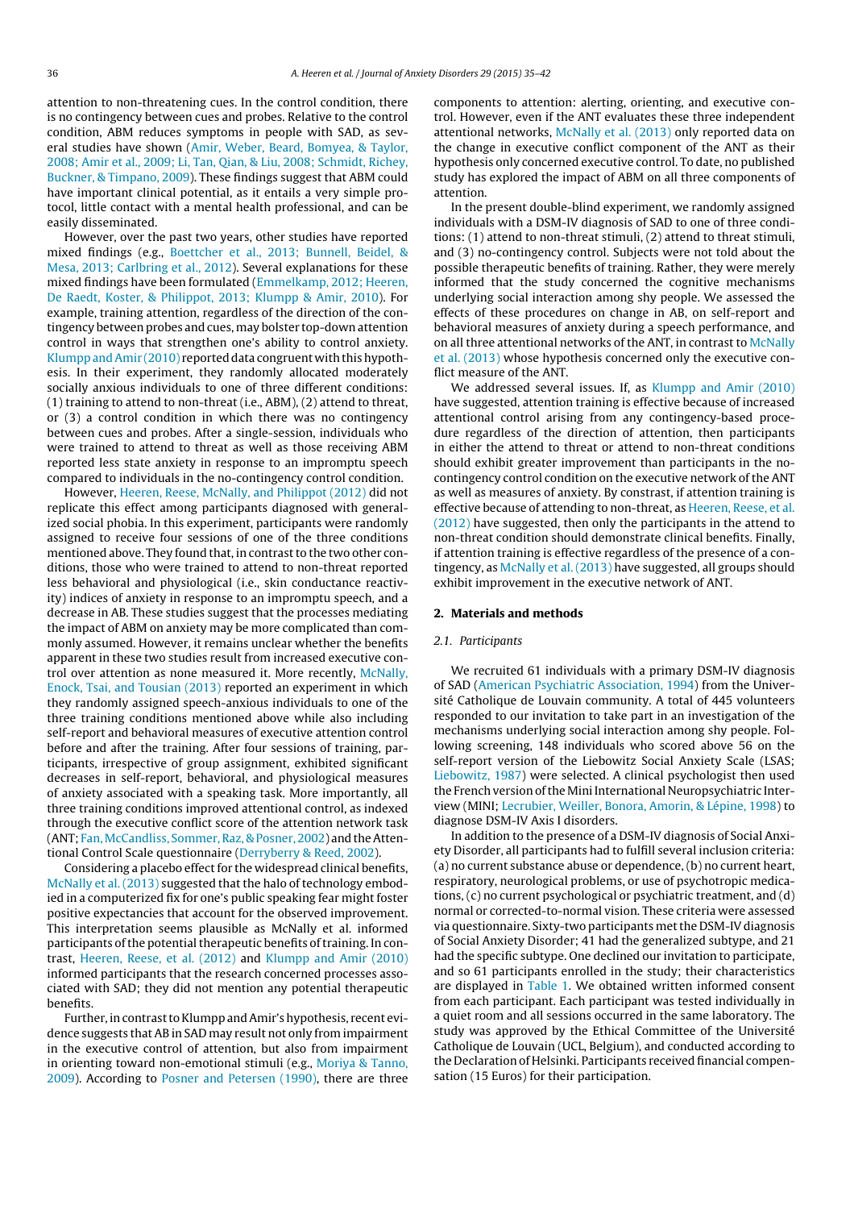attention to non-threatening cues. In the control condition, there is no contingency between cues and probes. Relative to the control condition, ABM reduces symptoms in people with SAD, as several studies have shown (Amir, Weber, Beard, Bomyea, & Taylor, 2008; Amir et al., 2009; Li, Tan, Qian, & Liu, 2008; Schmidt, Richey, Buckner, & Timpano, 2009). These findings suggest that ABM could have important clinical potential, as it entails a very simple protocol, little contact with a mental health professional, and can be easily disseminated.

However, over the past two years, other studies have reported mixed findings (e.g., Boettcher et al., 2013; Bunnell, Beidel, & Mesa, 2013; Carlbring et al., 2012). Several explanations for these mixed findings have been formulated (Emmelkamp, 2012; Heeren, De Raedt, Koster, & Philippot, 2013; Klumpp & Amir, 2010). For example, training attention, regardless of the direction of the contingency between probes and cues, may bolster top-down attention control in ways that strengthen one's ability to control anxiety. Klumpp and Amir (2010) reported data congruent with this hypothesis. In their experiment, they randomly allocated moderately socially anxious individuals to one of three different conditions: (1) training to attend to non-threat (i.e., ABM), (2) attend to threat, or (3) a control condition in which there was no contingency between cues and probes. After a single-session, individuals who were trained to attend to threat as well as those receiving ABM reported less state anxiety in response to an impromptu speech compared to individuals in the no-contingency control condition.

However, Heeren, Reese, McNally, and Philippot (2012) did not replicate this effect among participants diagnosed with generalized social phobia. In this experiment, participants were randomly assigned to receive four sessions of one of the three conditions mentioned above. They found that, in contrast to the two other conditions, those who were trained to attend to non-threat reported less behavioral and physiological (i.e., skin conductance reactivity) indices of anxiety in response to an impromptu speech, and a decrease in AB. These studies suggest that the processes mediating the impact of ABM on anxiety may be more complicated than commonly assumed. However, it remains unclear whether the benefits apparent in these two studies result from increased executive control over attention as none measured it. More recently, McNally, Enock, Tsai, and Tousian (2013) reported an experiment in which they randomly assigned speech-anxious individuals to one of the three training conditions mentioned above while also including self-report and behavioral measures of executive attention control before and after the training. After four sessions of training, participants, irrespective of group assignment, exhibited significant decreases in self-report, behavioral, and physiological measures of anxiety associated with a speaking task. More importantly, all three training conditions improved attentional control, as indexed through the executive conflict score of the attention network task (ANT; Fan, McCandliss, Sommer, Raz, & Posner, 2002) and the Attentional Control Scale questionnaire (Derryberry & Reed, 2002).

Considering a placebo effect for the widespread clinical benefits, McNally et al. (2013) suggested that the halo of technology embodied in a computerized fix for one's public speaking fear might foster positive expectancies that account for the observed improvement. This interpretation seems plausible as McNally et al. informed participants of the potential therapeutic benefits of training. In contrast, Heeren, Reese, et al. (2012) and Klumpp and Amir (2010) informed participants that the research concerned processes associated with SAD; they did not mention any potential therapeutic benefits.

Further, in contrast to Klumpp and Amir's hypothesis, recent evidence suggests that AB in SAD may result not only from impairment in the executive control of attention, but also from impairment in orienting toward non-emotional stimuli (e.g., Moriya & Tanno, 2009). According to Posner and Petersen (1990), there are three components to attention: alerting, orienting, and executive control. However, even if the ANT evaluates these three independent attentional networks, McNally et al. (2013) only reported data on the change in executive conflict component of the ANT as their hypothesis only concerned executive control. To date, no published study has explored the impact of ABM on all three components of attention.

In the present double-blind experiment, we randomly assigned individuals with a DSM-IV diagnosis of SAD to one of three conditions: (1) attend to non-threat stimuli, (2) attend to threat stimuli, and (3) no-contingency control. Subjects were not told about the possible therapeutic benefits of training. Rather, they were merely informed that the study concerned the cognitive mechanisms underlying social interaction among shy people. We assessed the effects of these procedures on change in AB, on self-report and behavioral measures of anxiety during a speech performance, and on all three attentional networks of the ANT, in contrast to McNally et al. (2013) whose hypothesis concerned only the executive conflict measure of the ANT.

We addressed several issues. If, as Klumpp and Amir (2010) have suggested, attention training is effective because of increased attentional control arising from any contingency-based procedure regardless of the direction of attention, then participants in either the attend to threat or attend to non-threat conditions should exhibit greater improvement than participants in the nocontingency control condition on the executive network of the ANT as well as measures of anxiety. By constrast, if attention training is effective because of attending to non-threat, as Heeren, Reese, et al. (2012) have suggested, then only the participants in the attend to non-threat condition should demonstrate clinical benefits. Finally, if attention training is effective regardless of the presence of a contingency, as McNally et al. (2013) have suggested, all groups should exhibit improvement in the executive network of ANT.

#### 2. Materials and methods

## 2.1. Participants

We recruited 61 individuals with a primary DSM-IV diagnosis of SAD (American Psychiatric Association, 1994) from the Université Catholique de Louvain community. A total of 445 volunteers responded to our invitation to take part in an investigation of the mechanisms underlying social interaction among shy people. Following screening, 148 individuals who scored above 56 on the self-report version of the Liebowitz Social Anxiety Scale (LSAS; Liebowitz, 1987) were selected. A clinical psychologist then used the French version of the Mini International Neuropsychiatric Interview (MINI; Lecrubier, Weiller, Bonora, Amorin, & Lépine, 1998) to diagnose DSM-IV Axis I disorders.

In addition to the presence of a DSM-IV diagnosis of Social Anxiety Disorder, all participants had to fulfill several inclusion criteria: (a) no current substance abuse or dependence, (b) no current heart, respiratory, neurological problems, or use of psychotropic medications, (c) no current psychological or psychiatric treatment, and (d) normal or corrected-to-normal vision. These criteria were assessed via questionnaire. Sixty-two participants met the DSM-IV diagnosis of Social Anxiety Disorder; 41 had the generalized subtype, and 21 had the specific subtype. One declined our invitation to participate, and so 61 participants enrolled in the study; their characteristics are displayed in Table 1. We obtained written informed consent from each participant. Each participant was tested individually in a quiet room and all sessions occurred in the same laboratory. The study was approved by the Ethical Committee of the Université Catholique de Louvain (UCL, Belgium), and conducted according to the Declaration of Helsinki. Participants received financial compensation (15 Euros) for their participation.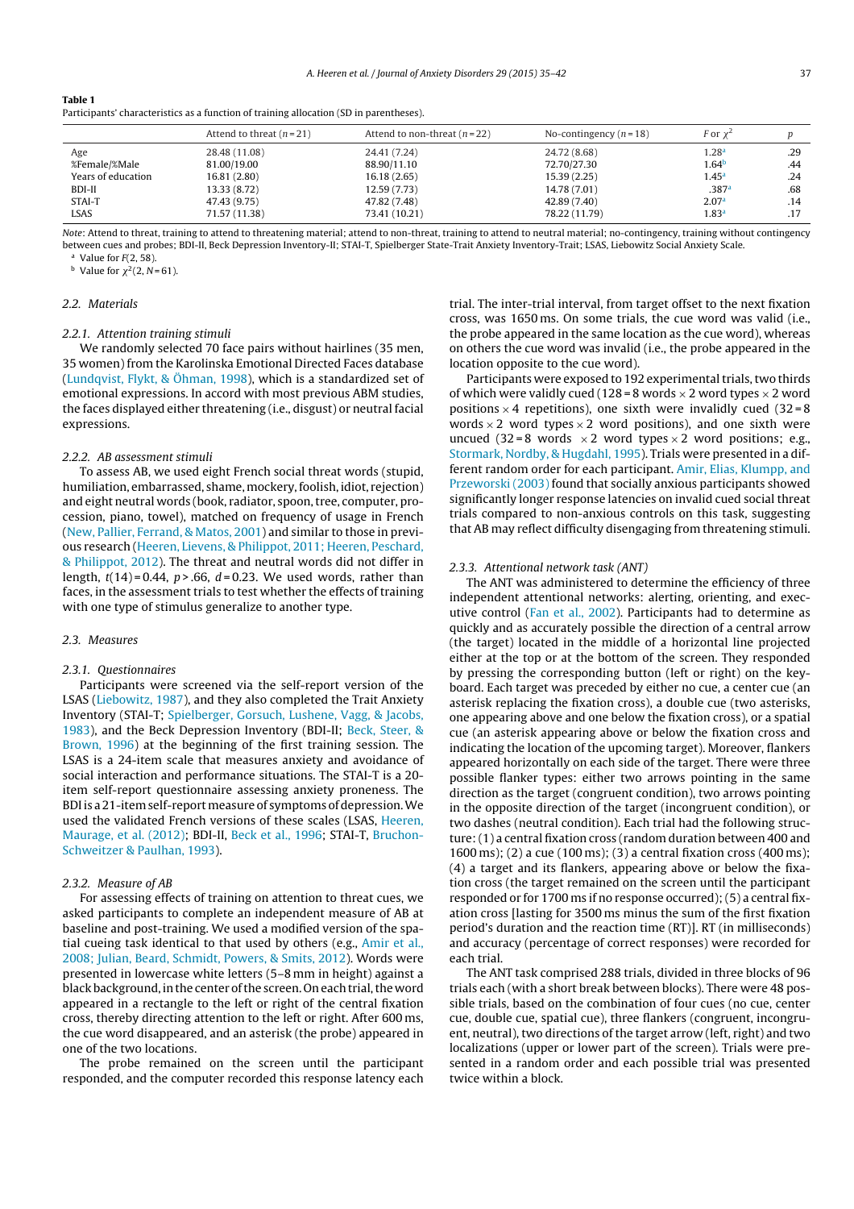| ш |  |
|---|--|
|---|--|

| Participants' characteristics as a function of training allocation (SD in parentheses). |
|-----------------------------------------------------------------------------------------|
|-----------------------------------------------------------------------------------------|

|                    | Attend to threat $(n=21)$ | Attend to non-threat $(n=22)$ | No-contingency $(n=18)$ | F or $\chi^2$     |     |
|--------------------|---------------------------|-------------------------------|-------------------------|-------------------|-----|
| Age                | 28.48 (11.08)             | 24.41 (7.24)                  | 24.72 (8.68)            | 1.28 <sup>a</sup> | .29 |
| %Female/%Male      | 81.00/19.00               | 88.90/11.10                   | 72.70/27.30             | 1.64 <sup>b</sup> | .44 |
| Years of education | 16.81 (2.80)              | 16.18(2.65)                   | 15.39(2.25)             | 1.45 <sup>a</sup> | .24 |
| BDI-II             | 13.33 (8.72)              | 12.59 (7.73)                  | 14.78 (7.01)            | .387a             | .68 |
| STAI-T             | 47.43 (9.75)              | 47.82 (7.48)                  | 42.89 (7.40)            | 2.07 <sup>a</sup> | .14 |
| LSAS               | 71.57 (11.38)             | 73.41 (10.21)                 | 78.22 (11.79)           | $1.83^{\sf a}$    |     |

Note: Attend to threat, training to attend to threatening material; attend to non-threat, training to attend to neutral material; no-contingency, training without contingency between cues and probes; BDI-II, Beck Depression Inventory-II; STAI-T, Spielberger State-Trait Anxiety Inventory-Trait; LSAS, Liebowitz Social Anxiety Scale.

Value for  $F(2, 58)$ . <sup>b</sup> Value for  $\chi^2$ (2, N = 61).

#### 2.2. Materials

## 2.2.1. Attention training stimuli

We randomly selected 70 face pairs without hairlines (35 men, 35 women) from the Karolinska Emotional Directed Faces database (Lundqvist, Flykt, & Öhman, 1998), which is a standardized set of emotional expressions. In accord with most previous ABM studies, the faces displayed either threatening (i.e., disgust) or neutral facial expressions.

#### 2.2.2. AB assessment stimuli

To assess AB, we used eight French social threat words (stupid, humiliation, embarrassed, shame, mockery, foolish, idiot, rejection) and eight neutral words (book, radiator, spoon, tree, computer, procession, piano, towel), matched on frequency of usage in French (New, Pallier, Ferrand, & Matos, 2001) and similar to those in previous research (Heeren, Lievens, & Philippot, 2011; Heeren, Peschard, & Philippot, 2012). The threat and neutral words did not differ in length,  $t(14) = 0.44$ ,  $p > .66$ ,  $d = 0.23$ . We used words, rather than faces, in the assessment trials to test whether the effects of training with one type of stimulus generalize to another type.

#### 2.3. Measures

#### 2.3.1. Questionnaires

Participants were screened via the self-report version of the LSAS (Liebowitz, 1987), and they also completed the Trait Anxiety Inventory (STAI-T; Spielberger, Gorsuch, Lushene, Vagg, & Jacobs, 1983), and the Beck Depression Inventory (BDI-II; Beck, Steer, & Brown, 1996) at the beginning of the first training session. The LSAS is a 24-item scale that measures anxiety and avoidance of social interaction and performance situations. The STAI-T is a 20 item self-report questionnaire assessing anxiety proneness. The BDI is a 21-item self-report measure of symptoms of depression. We used the validated French versions of these scales (LSAS, Heeren, Maurage, et al. (2012); BDI-II, Beck et al., 1996; STAI-T, Bruchon-Schweitzer & Paulhan, 1993).

## 2.3.2. Measure of AB

For assessing effects of training on attention to threat cues, we asked participants to complete an independent measure of AB at baseline and post-training. We used a modified version of the spatial cueing task identical to that used by others (e.g., Amir et al., 2008; Julian, Beard, Schmidt, Powers, & Smits, 2012). Words were presented in lowercase white letters (5–8 mm in height) against a black background, in the center of the screen. On each trial, the word appeared in a rectangle to the left or right of the central fixation cross, thereby directing attention to the left or right. After 600 ms, the cue word disappeared, and an asterisk (the probe) appeared in one of the two locations.

The probe remained on the screen until the participant responded, and the computer recorded this response latency each trial. The inter-trial interval, from target offset to the next fixation cross, was 1650 ms. On some trials, the cue word was valid (i.e., the probe appeared in the same location as the cue word), whereas on others the cue word was invalid (i.e., the probe appeared in the location opposite to the cue word).

Participants were exposed to 192 experimental trials, two thirds of which were validly cued (128 = 8 words  $\times$  2 word types  $\times$  2 word positions  $\times$  4 repetitions), one sixth were invalidly cued (32 = 8 words  $\times$  2 word types  $\times$  2 word positions), and one sixth were uncued (32=8 words  $\times$ 2 word types  $\times$ 2 word positions; e.g., Stormark, Nordby, & Hugdahl, 1995). Trials were presented in a different random order for each participant. Amir, Elias, Klumpp, and Przeworski (2003) found that socially anxious participants showed significantly longer response latencies on invalid cued social threat trials compared to non-anxious controls on this task, suggesting that AB may reflect difficulty disengaging from threatening stimuli.

#### 2.3.3. Attentional network task (ANT)

The ANT was administered to determine the efficiency of three independent attentional networks: alerting, orienting, and executive control (Fan et al., 2002). Participants had to determine as quickly and as accurately possible the direction of a central arrow (the target) located in the middle of a horizontal line projected either at the top or at the bottom of the screen. They responded by pressing the corresponding button (left or right) on the keyboard. Each target was preceded by either no cue, a center cue (an asterisk replacing the fixation cross), a double cue (two asterisks, one appearing above and one below the fixation cross), or a spatial cue (an asterisk appearing above or below the fixation cross and indicating the location of the upcoming target). Moreover, flankers appeared horizontally on each side of the target. There were three possible flanker types: either two arrows pointing in the same direction as the target (congruent condition), two arrows pointing in the opposite direction of the target (incongruent condition), or two dashes (neutral condition). Each trial had the following structure:(1) a central fixation cross (random duration between 400 and 1600 ms); (2) a cue (100 ms); (3) a central fixation cross (400 ms); (4) a target and its flankers, appearing above or below the fixation cross (the target remained on the screen until the participant responded or for 1700 ms if no response occurred);(5) a central fixation cross [lasting for 3500 ms minus the sum of the first fixation period's duration and the reaction time (RT)]. RT (in milliseconds) and accuracy (percentage of correct responses) were recorded for each trial.

The ANT task comprised 288 trials, divided in three blocks of 96 trials each (with a short break between blocks). There were 48 possible trials, based on the combination of four cues (no cue, center cue, double cue, spatial cue), three flankers (congruent, incongruent, neutral), two directions of the target arrow (left, right) and two localizations (upper or lower part of the screen). Trials were presented in a random order and each possible trial was presented twice within a block.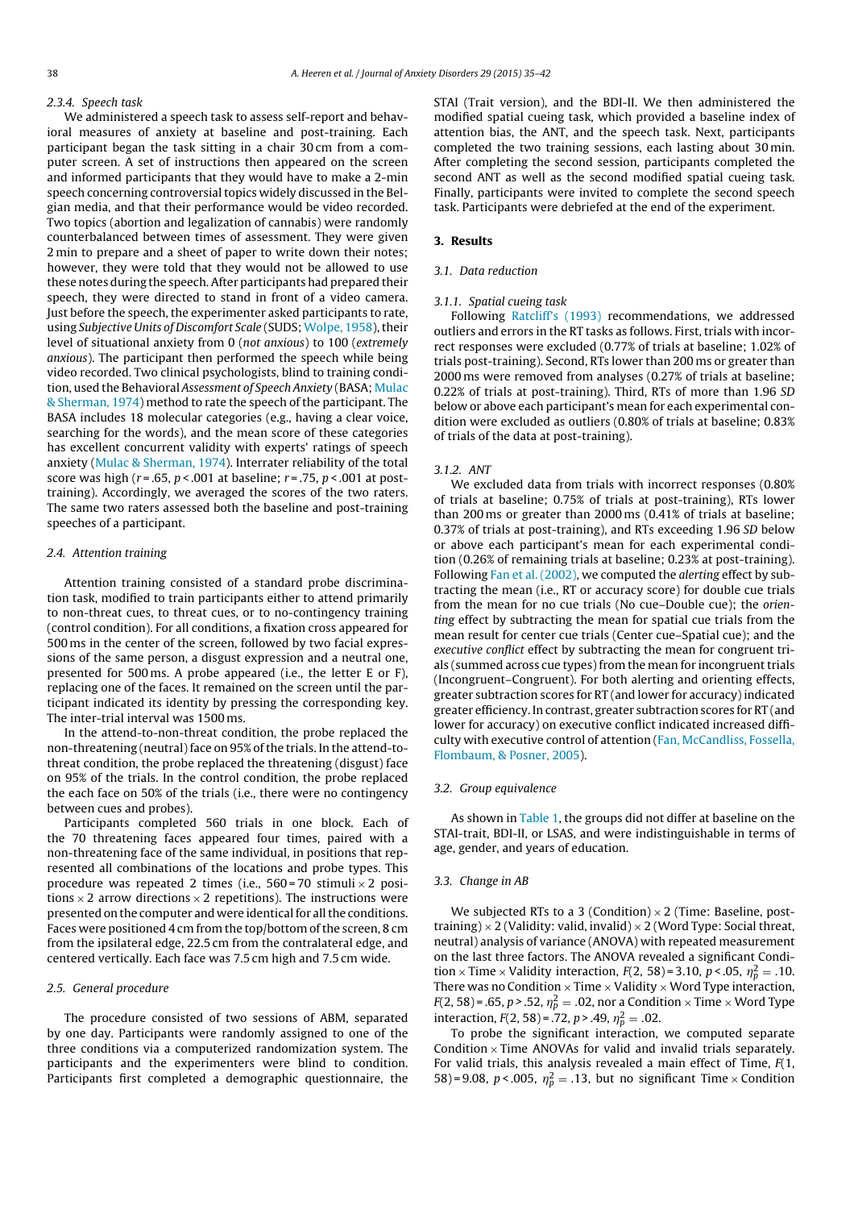#### 2.3.4. Speech task

We administered a speech task to assess self-report and behavioral measures of anxiety at baseline and post-training. Each participant began the task sitting in a chair 30 cm from a computer screen. A set of instructions then appeared on the screen and informed participants that they would have to make a 2-min speech concerning controversial topics widely discussed in the Belgian media, and that their performance would be video recorded. Two topics (abortion and legalization of cannabis) were randomly counterbalanced between times of assessment. They were given 2 min to prepare and a sheet of paper to write down their notes; however, they were told that they would not be allowed to use these notes during the speech.After participants had prepared their speech, they were directed to stand in front of a video camera. Just before the speech, the experimenter asked participants to rate, using Subjective Units of Discomfort Scale (SUDS; Wolpe, 1958), their level of situational anxiety from 0 (not anxious) to 100 (extremely anxious). The participant then performed the speech while being video recorded. Two clinical psychologists, blind to training condition, used the Behavioral Assessment of Speech Anxiety (BASA; Mulac & Sherman, 1974) method to rate the speech of the participant. The BASA includes 18 molecular categories (e.g., having a clear voice, searching for the words), and the mean score of these categories has excellent concurrent validity with experts' ratings of speech anxiety (Mulac & Sherman, 1974). Interrater reliability of the total score was high ( $r = .65$ ,  $p < .001$  at baseline;  $r = .75$ ,  $p < .001$  at posttraining). Accordingly, we averaged the scores of the two raters. The same two raters assessed both the baseline and post-training speeches of a participant.

#### 2.4. Attention training

Attention training consisted of a standard probe discrimination task, modified to train participants either to attend primarily to non-threat cues, to threat cues, or to no-contingency training (control condition). For all conditions, a fixation cross appeared for 500 ms in the center of the screen, followed by two facial expressions of the same person, a disgust expression and a neutral one, presented for 500 ms. A probe appeared (i.e., the letter E or F), replacing one of the faces. It remained on the screen until the participant indicated its identity by pressing the corresponding key. The inter-trial interval was 1500 ms.

In the attend-to-non-threat condition, the probe replaced the non-threatening (neutral) face on 95% of the trials. In the attend-tothreat condition, the probe replaced the threatening (disgust) face on 95% of the trials. In the control condition, the probe replaced the each face on 50% of the trials (i.e., there were no contingency between cues and probes).

Participants completed 560 trials in one block. Each of the 70 threatening faces appeared four times, paired with a non-threatening face of the same individual, in positions that represented all combinations of the locations and probe types. This procedure was repeated 2 times (i.e.,  $560 = 70$  stimuli  $\times$  2 positions  $\times$  2 arrow directions  $\times$  2 repetitions). The instructions were presented on the computer and were identical for all the conditions. Faces were positioned 4 cm from the top/bottom of the screen, 8 cm from the ipsilateral edge, 22.5 cm from the contralateral edge, and centered vertically. Each face was 7.5 cm high and 7.5 cm wide.

## 2.5. General procedure

The procedure consisted of two sessions of ABM, separated by one day. Participants were randomly assigned to one of the three conditions via a computerized randomization system. The participants and the experimenters were blind to condition. Participants first completed a demographic questionnaire, the STAI (Trait version), and the BDI-II. We then administered the modified spatial cueing task, which provided a baseline index of attention bias, the ANT, and the speech task. Next, participants completed the two training sessions, each lasting about 30 min. After completing the second session, participants completed the second ANT as well as the second modified spatial cueing task. Finally, participants were invited to complete the second speech task. Participants were debriefed at the end of the experiment.

## 3. Results

## 3.1. Data reduction

#### 3.1.1. Spatial cueing task

Following Ratcliff's (1993) recommendations, we addressed outliers and errors in the RT tasks as follows. First, trials with incorrect responses were excluded (0.77% of trials at baseline; 1.02% of trials post-training). Second, RTs lower than 200 ms or greater than 2000 ms were removed from analyses (0.27% of trials at baseline; 0.22% of trials at post-training). Third, RTs of more than 1.96 SD below or above each participant's mean for each experimental condition were excluded as outliers (0.80% of trials at baseline; 0.83% of trials of the data at post-training).

#### 3.1.2. ANT

We excluded data from trials with incorrect responses (0.80% of trials at baseline; 0.75% of trials at post-training), RTs lower than 200 ms or greater than 2000 ms (0.41% of trials at baseline; 0.37% of trials at post-training), and RTs exceeding 1.96 SD below or above each participant's mean for each experimental condition (0.26% of remaining trials at baseline; 0.23% at post-training). Following Fan et al. (2002), we computed the alerting effect by subtracting the mean (i.e., RT or accuracy score) for double cue trials from the mean for no cue trials (No cue–Double cue); the orienting effect by subtracting the mean for spatial cue trials from the mean result for center cue trials (Center cue–Spatial cue); and the executive conflict effect by subtracting the mean for congruent trials (summed across cue types) from the mean for incongruent trials (Incongruent–Congruent). For both alerting and orienting effects, greater subtraction scores for RT (and lower for accuracy) indicated greater efficiency. In contrast, greater subtraction scores for RT (and lower for accuracy) on executive conflict indicated increased difficulty with executive control of attention (Fan, McCandliss, Fossella, Flombaum, & Posner, 2005).

#### 3.2. Group equivalence

As shown in Table 1, the groups did not differ at baseline on the STAI-trait, BDI-II, or LSAS, and were indistinguishable in terms of age, gender, and years of education.

## 3.3. Change in AB

We subjected RTs to a 3 (Condition)  $\times$  2 (Time: Baseline, posttraining)  $\times$  2 (Validity: valid, invalid)  $\times$  2 (Word Type: Social threat, neutral) analysis of variance (ANOVA) with repeated measurement on the last three factors. The ANOVA revealed a significant Condition  $\times$  Time  $\times$  Validity interaction,  $F(2, 58)$ =3.10,  $p < .05$ ,  $\eta_p^2 = .10$ . There was no Condition  $\times$  Time  $\times$  Validity  $\times$  Word Type interaction,  $F(2, 58)$ = .65, p > .52,  $\eta_p^2 =$  .02, nor a Condition  $\times$  Time  $\times$  Word Type interaction,  $F(2, 58) = .72$ ,  $p > .49$ ,  $\eta_p^2 = .02$ .

To probe the significant interaction, we computed separate Condition  $\times$  Time ANOVAs for valid and invalid trials separately. For valid trials, this analysis revealed a main effect of Time,  $F(1, 1)$ 58)=9.08, p<.005,  $\eta_p^2 = .13$ , but no significant Time  $\times$  Condition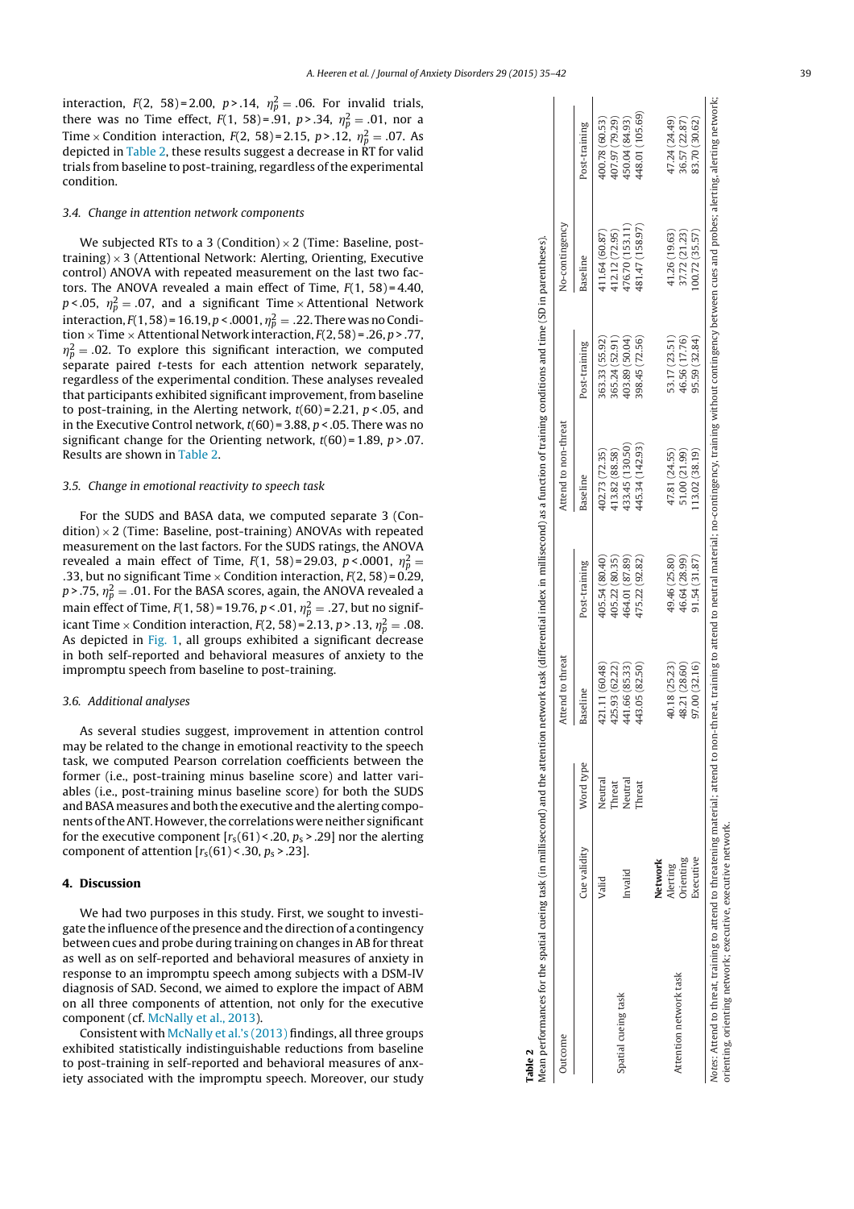$\mathbf{I}$ 

interaction,  $F(2, 58) = 2.00, p > .14, \eta_p^2 = .06$ . For invalid trials, there was no Time effect,  $F(1, 58) = .91$ ,  $p > .34$ ,  $\eta_p^2 = .01$ , nor a Time  $\times$  Condition interaction,  $F(2, 58) = 2.15$ ,  $p > .12$ ,  $\eta_p^2 = .07$ . As depicted in Table 2, these results suggest a decrease in  $\overline{RT}$  for valid trials from baseline to post-training, regardless of the experimental condition.

## 3.4. Change in attention network components

We subjected RTs to a 3 (Condition)  $\times$  2 (Time: Baseline, posttraining)  $\times$  3 (Attentional Network: Alerting, Orienting, Executive control) ANOVA with repeated measurement on the last two factors. The ANOVA revealed a main effect of Time,  $F(1, 58) = 4.40$ ,  $p < .05$ ,  $\eta_p^2 = .07$ , and a significant Time  $\times$  Attentional Network interaction, F(1, 58) = 16.19, p < .0001,  $\eta_p^2 =$  .22. There was no Condition  $\times$  Time  $\times$  Attentional Network interaction,  $F(2, 58)$  = .26, p > .77,  $\eta_p^2$  = .02. To explore this significant interaction, we computed separate paired t-tests for each attention network separately, regardless of the experimental condition. These analyses revealed that participants exhibited significant improvement, from baseline to post-training, in the Alerting network,  $t(60) = 2.21$ ,  $p < .05$ , and in the Executive Control network,  $t(60)$  = 3.88,  $p < .05$ . There was no significant change for the Orienting network,  $t(60) = 1.89$ ,  $p > 0.07$ . Results are shown in Table 2.

### 3.5. Change in emotional reactivity to speech task

For the SUDS and BASA data, we computed separate 3 (Con $dition$   $\times$  2 (Time: Baseline, post-training) ANOVAs with repeated measurement on the last factors. For the SUDS ratings, the ANOVA revealed a main effect of Time,  $F(1, 58) = 29.03$ ,  $p < .0001$ ,  $\eta_p^2 =$ .33, but no significant Time  $\times$  Condition interaction,  $F(2, 58) = 0.29$ , p>.75,  $\eta_p^2 = .01$ . For the BASA scores, again, the ANOVA revealed a main effect of Time,  $F(1, 58)$  = 19.76,  $p < 01$ ,  $\eta_p^2 = .27$ , but no significant Time  $\times$  Condition interaction,  $F(2,58)$  = 2.13, p > .13,  $\eta_p^2 = .08$ . As depicted in Fig. 1, all groups exhibited a significant decrease in both self-reported and behavioral measures of anxiety to the impromptu speech from baseline to post-training.

## 3.6. Additional analyses

As several studies suggest, improvement in attention control may be related to the change in emotional reactivity to the speech task, we computed Pearson correlation coefficients between the former (i.e., post-training minus baseline score) and latter variables (i.e., post-training minus baseline score) for both the SUDS and BASA measures and both the executive and the alerting components of the ANT. However, the correlations were neither significant for the executive component  $[r_S(61) < .20, p_S > .29]$  nor the alerting component of attention  $[r_s(61) < .30, p_s > .23]$ .

#### 4. Discussion

We had two purposes in this study. First, we sought to investigate the influence of the presence and the direction of a contingency between cues and probe during training on changes in AB for threat as well as on self-reported and behavioral measures of anxiety in response to an impromptu speech among subjects with a DSM-IV diagnosis of SAD. Second, we aimed to explore the impact of ABM on all three components of attention, not only for the executive component (cf. McNally et al., 2013).

Consistent with McNally et al.'s (2013) findings, all three groups exhibited statistically indistinguishable reductions from baseline to post-training in self-reported and behavioral measures of anxiety associated with the impromptu speech. Moreover, our study

| Outcome                                                                                                                                                                                                                                                                          |              |           | Attend to threat |                | Attend to non-threat |                | No-contingency  |                 |
|----------------------------------------------------------------------------------------------------------------------------------------------------------------------------------------------------------------------------------------------------------------------------------|--------------|-----------|------------------|----------------|----------------------|----------------|-----------------|-----------------|
|                                                                                                                                                                                                                                                                                  | Cue validity | Word type | Baseline         | Post-training  | Baseline             | Post-training  | Baseline        | Post-training   |
|                                                                                                                                                                                                                                                                                  | Valid        | Neutral   | 421.11 (60.48)   | 405.54 (80.40) | 402.73 (72.35)       | 363.33 (55.92) | 411.64 (60.87)  | 400.78 (60.53)  |
|                                                                                                                                                                                                                                                                                  |              | Threat    | 425.93 (62.22)   | 405.22 (80.35) | 413.82 (88.58)       | 365.24 (52.91) | 412.12 (72.95)  | 407.97 (79.29)  |
| Spatial cueing task                                                                                                                                                                                                                                                              | Invalid      | Neutral   | 441.66 (85.33)   | 464.01 (87.89) | 433.45 (130.50)      | 403.89 (50.04) | 476.70 (153.11  | 450.04 (84.93)  |
|                                                                                                                                                                                                                                                                                  |              | hreat     | 443.05 (82.50)   | 475.22 (92.82) | 445.34 (142.93)      | 398.45 (72.56) | 481.47 (158.97) | 448.01 (105.69) |
|                                                                                                                                                                                                                                                                                  | Network      |           |                  |                |                      |                |                 |                 |
|                                                                                                                                                                                                                                                                                  | Alerting     |           | 40.18 (25.23)    | 49.46 (25.80)  | 47.81 (24.55)        | 53.17 (23.51)  | 41.26 (19.63)   | 47.24 (24.49)   |
| Attention network task                                                                                                                                                                                                                                                           | Orienting    |           | 48.21 (28.60)    | 46.64 (28.99)  | 51.00 (21.99)        | 46.56 (17.76)  | 37.72 (21.23)   | 36.57 (22.87)   |
|                                                                                                                                                                                                                                                                                  | Executive    |           | 97.00 (32.16)    | 91.54 (31.87)  | 113.02 (38.19)       | 95.59 (32.84)  | 00.72 (35.57)   | 83.70 (30.62)   |
| Notes: Attend to threat, training to attend to threatening material; attend to non-threat, training material; no-contingency, training without contingency between cues and probes; alerting, alerting, nertwork;<br>orienting, orienting network; executive, executive network. |              |           |                  |                |                      |                |                 |                 |

Table 2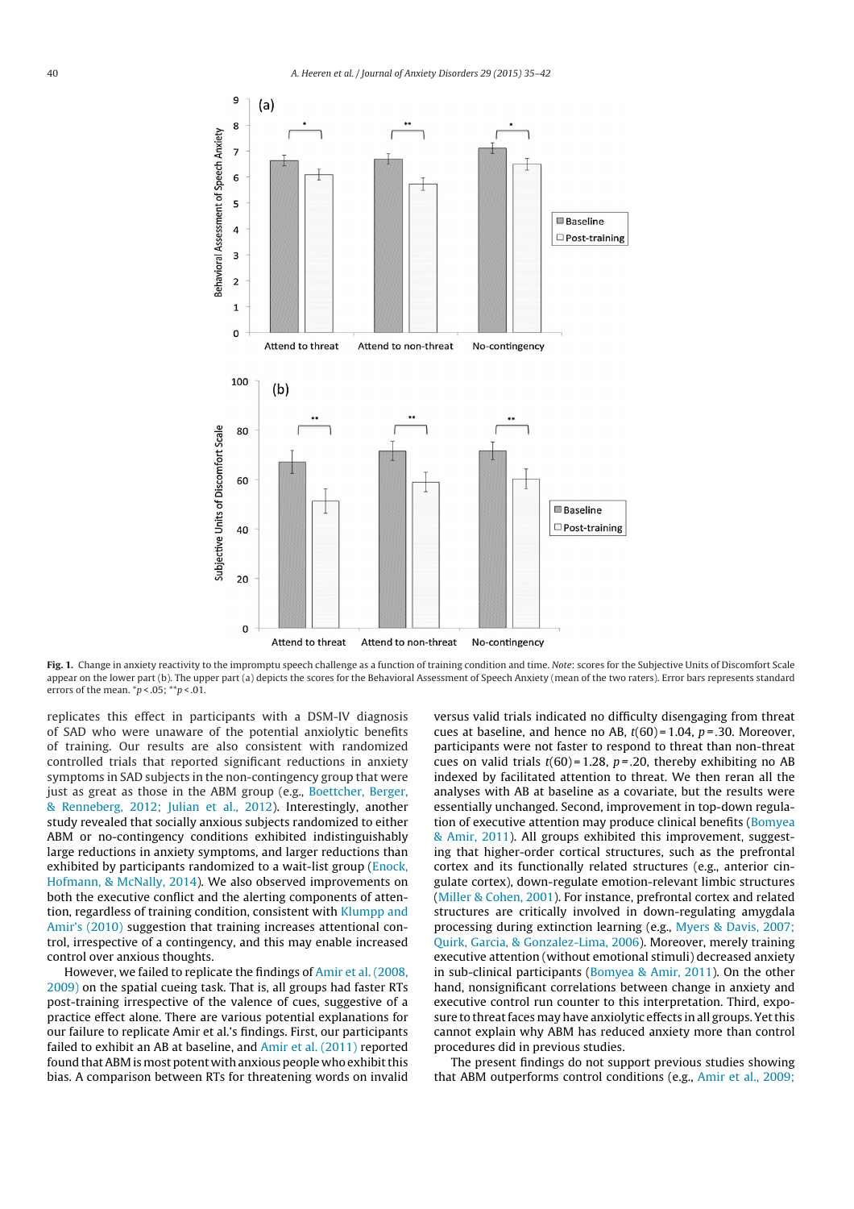

Fig. 1. Change in anxiety reactivity to the impromptu speech challenge as a function of training condition and time. Note: scores for the Subjective Units of Discomfort Scale appear on the lower part (b). The upper part (a) depicts the scores for the Behavioral Assessment of Speech Anxiety (mean of the two raters). Error bars represents standard errors of the mean.  $\pi p < .05$ ;  $\pi p < .01$ .

replicates this effect in participants with a DSM-IV diagnosis of SAD who were unaware of the potential anxiolytic benefits of training. Our results are also consistent with randomized controlled trials that reported significant reductions in anxiety symptoms in SAD subjects in the non-contingency group that were just as great as those in the ABM group (e.g., Boettcher, Berger, & Renneberg, 2012; Julian et al., 2012). Interestingly, another study revealed that socially anxious subjects randomized to either ABM or no-contingency conditions exhibited indistinguishably large reductions in anxiety symptoms, and larger reductions than exhibited by participants randomized to a wait-list group (Enock, Hofmann, & McNally, 2014). We also observed improvements on both the executive conflict and the alerting components of attention, regardless of training condition, consistent with Klumpp and Amir's (2010) suggestion that training increases attentional control, irrespective of a contingency, and this may enable increased control over anxious thoughts.

However, we failed to replicate the findings of Amir et al. (2008, 2009) on the spatial cueing task. That is, all groups had faster RTs post-training irrespective of the valence of cues, suggestive of a practice effect alone. There are various potential explanations for our failure to replicate Amir et al.'s findings. First, our participants failed to exhibit an AB at baseline, and Amir et al. (2011) reported found that ABM is most potent with anxious people who exhibit this bias. A comparison between RTs for threatening words on invalid versus valid trials indicated no difficulty disengaging from threat cues at baseline, and hence no AB,  $t(60) = 1.04$ ,  $p = .30$ . Moreover, participants were not faster to respond to threat than non-threat cues on valid trials  $t(60) = 1.28$ ,  $p = .20$ , thereby exhibiting no AB indexed by facilitated attention to threat. We then reran all the analyses with AB at baseline as a covariate, but the results were essentially unchanged. Second, improvement in top-down regulation of executive attention may produce clinical benefits (Bomyea & Amir, 2011). All groups exhibited this improvement, suggesting that higher-order cortical structures, such as the prefrontal cortex and its functionally related structures (e.g., anterior cingulate cortex), down-regulate emotion-relevant limbic structures (Miller & Cohen, 2001). For instance, prefrontal cortex and related structures are critically involved in down-regulating amygdala processing during extinction learning (e.g., Myers & Davis, 2007; Quirk, Garcia, & Gonzalez-Lima, 2006). Moreover, merely training executive attention (without emotional stimuli) decreased anxiety in sub-clinical participants (Bomyea & Amir, 2011). On the other hand, nonsignificant correlations between change in anxiety and executive control run counter to this interpretation. Third, exposure to threat faces may have anxiolytic effects in all groups. Yet this cannot explain why ABM has reduced anxiety more than control procedures did in previous studies.

The present findings do not support previous studies showing that ABM outperforms control conditions (e.g., Amir et al., 2009;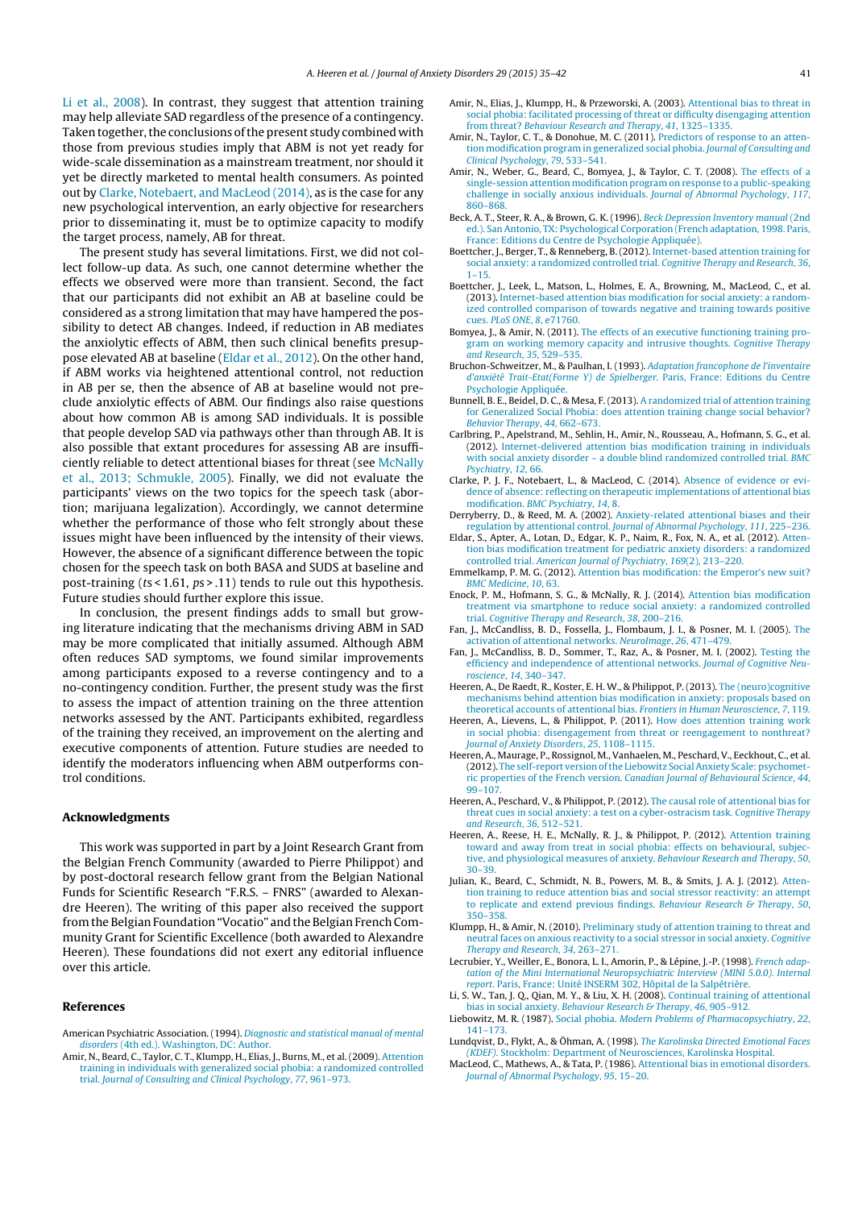Li et al., 2008). In contrast, they suggest that attention training may help alleviate SAD regardless of the presence of a contingency. Taken together, the conclusions of the present study combined with those from previous studies imply that ABM is not yet ready for wide-scale dissemination as a mainstream treatment, nor should it yet be directly marketed to mental health consumers. As pointed out by Clarke, Notebaert, and MacLeod (2014), as is the case for any new psychological intervention, an early objective for researchers prior to disseminating it, must be to optimize capacity to modify the target process, namely, AB for threat.

The present study has several limitations. First, we did not collect follow-up data. As such, one cannot determine whether the effects we observed were more than transient. Second, the fact that our participants did not exhibit an AB at baseline could be considered as a strong limitation that may have hampered the possibility to detect AB changes. Indeed, if reduction in AB mediates the anxiolytic effects of ABM, then such clinical benefits presuppose elevated AB at baseline (Eldar et al., 2012). On the other hand, if ABM works via heightened attentional control, not reduction in AB per se, then the absence of AB at baseline would not preclude anxiolytic effects of ABM. Our findings also raise questions about how common AB is among SAD individuals. It is possible that people develop SAD via pathways other than through AB. It is also possible that extant procedures for assessing AB are insufficiently reliable to detect attentional biases for threat (see McNally et al., 2013; Schmukle, 2005). Finally, we did not evaluate the participants' views on the two topics for the speech task (abortion; marijuana legalization). Accordingly, we cannot determine whether the performance of those who felt strongly about these issues might have been influenced by the intensity of their views. However, the absence of a significant difference between the topic chosen for the speech task on both BASA and SUDS at baseline and post-training (ts < 1.61, ps > .11) tends to rule out this hypothesis. Future studies should further explore this issue.

In conclusion, the present findings adds to small but growing literature indicating that the mechanisms driving ABM in SAD may be more complicated that initially assumed. Although ABM often reduces SAD symptoms, we found similar improvements among participants exposed to a reverse contingency and to a no-contingency condition. Further, the present study was the first to assess the impact of attention training on the three attention networks assessed by the ANT. Participants exhibited, regardless of the training they received, an improvement on the alerting and executive components of attention. Future studies are needed to identify the moderators influencing when ABM outperforms control conditions.

#### Acknowledgments

This work was supported in part by a Joint Research Grant from the Belgian French Community (awarded to Pierre Philippot) and by post-doctoral research fellow grant from the Belgian National Funds for Scientific Research "F.R.S. – FNRS" (awarded to Alexandre Heeren). The writing of this paper also received the support fromthe Belgian Foundation "Vocatio" and the Belgian French Community Grant for Scientific Excellence (both awarded to Alexandre Heeren). These foundations did not exert any editorial influence over this article.

#### References

- American Psychiatric Association. (1994). Diagnostic and statistical manual of mental disorders (4th ed.). Washington, DC: Author.
- Amir, N., Beard, C., Taylor, C. T., Klumpp, H., Elias, J., Burns, M., et al. (2009). Attention training in individuals with generalized social phobia: a randomized controlled trial. Journal of Consulting and Clinical Psychology, 77, 961–973.
- Amir, N., Elias, J., Klumpp, H., & Przeworski, A. (2003). Attentional bias to threat [in](http://refhub.elsevier.com/S0887-6185(14)00168-6/sbref0025) social phobia: [facilitated](http://refhub.elsevier.com/S0887-6185(14)00168-6/sbref0025) pr[ocessing](http://refhub.elsevier.com/S0887-6185(14)00168-6/sbref0025) of [threat](http://refhub.elsevier.com/S0887-6185(14)00168-6/sbref0025) or dif[ficulty](http://refhub.elsevier.com/S0887-6185(14)00168-6/sbref0025) di[sengaging](http://refhub.elsevier.com/S0887-6185(14)00168-6/sbref0025) att[ention](http://refhub.elsevier.com/S0887-6185(14)00168-6/sbref0025) from threat? [Behaviour](http://refhub.elsevier.com/S0887-6185(14)00168-6/sbref0025) [Research](http://refhub.elsevier.com/S0887-6185(14)00168-6/sbref0025) and [Therap](http://refhub.elsevier.com/S0887-6185(14)00168-6/sbref0025)y, 41, [1325–1335.](http://refhub.elsevier.com/S0887-6185(14)00168-6/sbref0025)
- Amir, N., Taylor, C. [T.,](http://refhub.elsevier.com/S0887-6185(14)00168-6/sbref0025) & [Do](http://refhub.elsevier.com/S0887-6185(14)00168-6/sbref0025)nohue, M. C. (2011). Predictors of response to an attention modification program in generalized social phobia. [Jour](http://refhub.elsevier.com/S0887-6185(14)00168-6/sbref0255)nal of [Consulting](http://refhub.elsevier.com/S0887-6185(14)00168-6/sbref0255) and Clinical Psych[ology](http://refhub.elsevier.com/S0887-6185(14)00168-6/sbref0255), [79](http://refhub.elsevier.com/S0887-6185(14)00168-6/sbref0255), [533–541.](http://refhub.elsevier.com/S0887-6185(14)00168-6/sbref0255)
- Amir, N., Weber, G., [Bea](http://refhub.elsevier.com/S0887-6185(14)00168-6/sbref0255)rd, [C.,](http://refhub.elsevier.com/S0887-6185(14)00168-6/sbref0255) B[omyea,](http://refhub.elsevier.com/S0887-6185(14)00168-6/sbref0255) J., & [Taylor,](http://refhub.elsevier.com/S0887-6185(14)00168-6/sbref0255) C. T. [\(2008\).](http://refhub.elsevier.com/S0887-6185(14)00168-6/sbref0255) [The](http://refhub.elsevier.com/S0887-6185(14)00168-6/sbref0255) ef[fects](http://refhub.elsevier.com/S0887-6185(14)00168-6/sbref0255) of a single-session attention modification program on response to a [public-speaking](http://refhub.elsevier.com/S0887-6185(14)00168-6/sbref0035) challenge in [sociall](http://refhub.elsevier.com/S0887-6185(14)00168-6/sbref0035)y [anxious](http://refhub.elsevier.com/S0887-6185(14)00168-6/sbref0035) [individuals.](http://refhub.elsevier.com/S0887-6185(14)00168-6/sbref0035) [Journal](http://refhub.elsevier.com/S0887-6185(14)00168-6/sbref0035) of [Abno](http://refhub.elsevier.com/S0887-6185(14)00168-6/sbref0035)rmal [Psychology](http://refhub.elsevier.com/S0887-6185(14)00168-6/sbref0035), 1[17](http://refhub.elsevier.com/S0887-6185(14)00168-6/sbref0035), 860–868.
- Beck, A. T., Steer, R. A., & Brown, G. K. (1996). Beck Depression Inventory manual (2nd ed.). San Antonio, TX: [Psychological](http://refhub.elsevier.com/S0887-6185(14)00168-6/sbref0040) [Corporatio](http://refhub.elsevier.com/S0887-6185(14)00168-6/sbref0040)n [\(Fr](http://refhub.elsevier.com/S0887-6185(14)00168-6/sbref0040)ench [adaptation,](http://refhub.elsevier.com/S0887-6185(14)00168-6/sbref0040) [1998.](http://refhub.elsevier.com/S0887-6185(14)00168-6/sbref0040) [Paris,](http://refhub.elsevier.com/S0887-6185(14)00168-6/sbref0040) France: Editi[ons](http://refhub.elsevier.com/S0887-6185(14)00168-6/sbref0040) du [Centre](http://refhub.elsevier.com/S0887-6185(14)00168-6/sbref0040) de [Psychologie](http://refhub.elsevier.com/S0887-6185(14)00168-6/sbref0040) [Appliquée\).](http://refhub.elsevier.com/S0887-6185(14)00168-6/sbref0040)
- Boettcher, J., Berg[er,](http://refhub.elsevier.com/S0887-6185(14)00168-6/sbref0040) T., & [Renneber](http://refhub.elsevier.com/S0887-6185(14)00168-6/sbref0040)g, B. [\(201](http://refhub.elsevier.com/S0887-6185(14)00168-6/sbref0040)2). Internet-based attention [training](http://refhub.elsevier.com/S0887-6185(14)00168-6/sbref0040) for social anxiety: a randomize[d](http://refhub.elsevier.com/S0887-6185(14)00168-6/sbref0040) c[o](http://refhub.elsevier.com/S0887-6185(14)00168-6/sbref0040)ntrolled [trial](http://refhub.elsevier.com/S0887-6185(14)00168-6/sbref0045). [Cognitive](http://refhub.elsevier.com/S0887-6185(14)00168-6/sbref0045) [Therapy](http://refhub.elsevier.com/S0887-6185(14)00168-6/sbref0045) and [Research](http://refhub.elsevier.com/S0887-6185(14)00168-6/sbref0045), 36,  $1 - 15$ .
- Boettcher, J., Leek, [L.,](http://refhub.elsevier.com/S0887-6185(14)00168-6/sbref0045) [Matson,](http://refhub.elsevier.com/S0887-6185(14)00168-6/sbref0045) [L.,](http://refhub.elsevier.com/S0887-6185(14)00168-6/sbref0045) [Holmes,](http://refhub.elsevier.com/S0887-6185(14)00168-6/sbref0045) E. A., [Brow](http://refhub.elsevier.com/S0887-6185(14)00168-6/sbref0045)ning, M., Ma[cLeod,](http://refhub.elsevier.com/S0887-6185(14)00168-6/sbref0045) C., et [al.](http://refhub.elsevier.com/S0887-6185(14)00168-6/sbref0045) (2013). Internet-based attention bias modification for social [anxiet](http://refhub.elsevier.com/S0887-6185(14)00168-6/sbref0050)y: a [random](http://refhub.elsevier.com/S0887-6185(14)00168-6/sbref0050)ized controlled [compa](http://refhub.elsevier.com/S0887-6185(14)00168-6/sbref0050)rison of [towards](http://refhub.elsevier.com/S0887-6185(14)00168-6/sbref0050) [negati](http://refhub.elsevier.com/S0887-6185(14)00168-6/sbref0050)ve and [training](http://refhub.elsevier.com/S0887-6185(14)00168-6/sbref0050) to[wards](http://refhub.elsevier.com/S0887-6185(14)00168-6/sbref0050) p[ositive](http://refhub.elsevier.com/S0887-6185(14)00168-6/sbref0050) cues. PLoS ONE, 8, [e71760](http://refhub.elsevier.com/S0887-6185(14)00168-6/sbref0050).
- Bomyea, J., & Amir, N. (2011). The [effects](http://refhub.elsevier.com/S0887-6185(14)00168-6/sbref0050) of an executive [functioning](http://refhub.elsevier.com/S0887-6185(14)00168-6/sbref0055) tr[aining](http://refhub.elsevier.com/S0887-6185(14)00168-6/sbref0055) [pro](http://refhub.elsevier.com/S0887-6185(14)00168-6/sbref0055)gram on wor[kin](http://refhub.elsevier.com/S0887-6185(14)00168-6/sbref0055)g [memory](http://refhub.elsevier.com/S0887-6185(14)00168-6/sbref0055) c[apacity](http://refhub.elsevier.com/S0887-6185(14)00168-6/sbref0055) [and](http://refhub.elsevier.com/S0887-6185(14)00168-6/sbref0055) int[rusiv](http://refhub.elsevier.com/S0887-6185(14)00168-6/sbref0055)e [thought](http://refhub.elsevier.com/S0887-6185(14)00168-6/sbref0055)s. [Cognit](http://refhub.elsevier.com/S0887-6185(14)00168-6/sbref0055)ive [Therapy](http://refhub.elsevier.com/S0887-6185(14)00168-6/sbref0055) and Research, 35, [529–535.](http://refhub.elsevier.com/S0887-6185(14)00168-6/sbref0055)
- Bruchon-Schweitzer, M., & Paulhan, I. (1993). Adaptation francophone de l'inventaire d'anxiété Trait-Etat(Forme Y) de [Spielber](http://refhub.elsevier.com/S0887-6185(14)00168-6/sbref0060)ger. [Paris,](http://refhub.elsevier.com/S0887-6185(14)00168-6/sbref0060) [Fran](http://refhub.elsevier.com/S0887-6185(14)00168-6/sbref0060)ce: [Editions](http://refhub.elsevier.com/S0887-6185(14)00168-6/sbref0060) du [Centre](http://refhub.elsevier.com/S0887-6185(14)00168-6/sbref0060) Psychologie [Appliquée.](http://refhub.elsevier.com/S0887-6185(14)00168-6/sbref0060)
- Bunnell, B. E., Bei[del,](http://refhub.elsevier.com/S0887-6185(14)00168-6/sbref0060) D. C., & [Mesa,](http://refhub.elsevier.com/S0887-6185(14)00168-6/sbref0060) F. (2013). A randomized trial of attention training for Generalized Social Phobia: does attention training change s[ocial](http://refhub.elsevier.com/S0887-6185(14)00168-6/sbref0065) beh[av](http://refhub.elsevier.com/S0887-6185(14)00168-6/sbref0065)i[or?](http://refhub.elsevier.com/S0887-6185(14)00168-6/sbref0065) Behavior Ther[apy](http://refhub.elsevier.com/S0887-6185(14)00168-6/sbref0065), 44, [662–673.](http://refhub.elsevier.com/S0887-6185(14)00168-6/sbref0065)
- Carlbring, P., Ape[lstrand,](http://refhub.elsevier.com/S0887-6185(14)00168-6/sbref0065) M., Se[hlin,](http://refhub.elsevier.com/S0887-6185(14)00168-6/sbref0065) H., [Amir,](http://refhub.elsevier.com/S0887-6185(14)00168-6/sbref0065) [N](http://refhub.elsevier.com/S0887-6185(14)00168-6/sbref0065)., [Rousseau,](http://refhub.elsevier.com/S0887-6185(14)00168-6/sbref0065) A., [Hofmann,](http://refhub.elsevier.com/S0887-6185(14)00168-6/sbref0065) S. G., et al. (2012). Internet-delivered attention bias modi[fication](http://refhub.elsevier.com/S0887-6185(14)00168-6/sbref0070) training in [individuals](http://refhub.elsevier.com/S0887-6185(14)00168-6/sbref0070) with social a[nxiety](http://refhub.elsevier.com/S0887-6185(14)00168-6/sbref0070) diso[rde](http://refhub.elsevier.com/S0887-6185(14)00168-6/sbref0070)r – a [double](http://refhub.elsevier.com/S0887-6185(14)00168-6/sbref0070) [blind](http://refhub.elsevier.com/S0887-6185(14)00168-6/sbref0070) r[andomized](http://refhub.elsevier.com/S0887-6185(14)00168-6/sbref0070) [controlle](http://refhub.elsevier.com/S0887-6185(14)00168-6/sbref0070)d [trial.](http://refhub.elsevier.com/S0887-6185(14)00168-6/sbref0070) B[MC](http://refhub.elsevier.com/S0887-6185(14)00168-6/sbref0070) Psychiatry, 12, 66.
- Clarke, P. J. F., N[otebaert,](http://refhub.elsevier.com/S0887-6185(14)00168-6/sbref0075) L., & [MacLeo](http://refhub.elsevier.com/S0887-6185(14)00168-6/sbref0075)d, C. [\(2014\).](http://refhub.elsevier.com/S0887-6185(14)00168-6/sbref0075) [Absence](http://refhub.elsevier.com/S0887-6185(14)00168-6/sbref0075) of [evidence](http://refhub.elsevier.com/S0887-6185(14)00168-6/sbref0075) or evidence of absence: [reflecting](http://refhub.elsevier.com/S0887-6185(14)00168-6/sbref0075) on [therapeutic](http://refhub.elsevier.com/S0887-6185(14)00168-6/sbref0075) im[plementations](http://refhub.elsevier.com/S0887-6185(14)00168-6/sbref0075) [of](http://refhub.elsevier.com/S0887-6185(14)00168-6/sbref0075) [attentiona](http://refhub.elsevier.com/S0887-6185(14)00168-6/sbref0075)l [bia](http://refhub.elsevier.com/S0887-6185(14)00168-6/sbref0075)s modification. BMC Psychiatry, 14, 8.
- Derryberry, D., & [Reed](http://refhub.elsevier.com/S0887-6185(14)00168-6/sbref0080), [M.](http://refhub.elsevier.com/S0887-6185(14)00168-6/sbref0080) A. ([2002\).](http://refhub.elsevier.com/S0887-6185(14)00168-6/sbref0080) Anxiety-related attentional biases and their regulation by attentional control. Journal of Abnormal Psychology, 111, [225–236.](http://refhub.elsevier.com/S0887-6185(14)00168-6/sbref0085)
- Eldar, S., Apter, A., [Lotan,](http://refhub.elsevier.com/S0887-6185(14)00168-6/sbref0085) D., [Edgar,](http://refhub.elsevier.com/S0887-6185(14)00168-6/sbref0085) K. P., Na[im](http://refhub.elsevier.com/S0887-6185(14)00168-6/sbref0085), R., [Fox](http://refhub.elsevier.com/S0887-6185(14)00168-6/sbref0085), [N.](http://refhub.elsevier.com/S0887-6185(14)00168-6/sbref0085) A., et [al.](http://refhub.elsevier.com/S0887-6185(14)00168-6/sbref0085) (2[01](http://refhub.elsevier.com/S0887-6185(14)00168-6/sbref0085)2). [Atten](http://refhub.elsevier.com/S0887-6185(14)00168-6/sbref0085)tion bias mo[dificat](http://refhub.elsevier.com/S0887-6185(14)00168-6/sbref0085)ion [treatment](http://refhub.elsevier.com/S0887-6185(14)00168-6/sbref0085) for [pediatric](http://refhub.elsevier.com/S0887-6185(14)00168-6/sbref0085) an[xiety](http://refhub.elsevier.com/S0887-6185(14)00168-6/sbref0085) [disorders](http://refhub.elsevier.com/S0887-6185(14)00168-6/sbref0085): a randomized controlled trial. American Journal of Psychiatry, 169(2), 213–220.
- Emmelkamp, P. M. G. [\(2012\).](http://refhub.elsevier.com/S0887-6185(14)00168-6/sbref0090) [Attention](http://refhub.elsevier.com/S0887-6185(14)00168-6/sbref0090) bias [modification:](http://refhub.elsevier.com/S0887-6185(14)00168-6/sbref0090) the E[mperor's](http://refhub.elsevier.com/S0887-6185(14)00168-6/sbref0090) [new](http://refhub.elsevier.com/S0887-6185(14)00168-6/sbref0090) suit? BMC Medicine, 10, 63.
- Enock, P. M., Hof[mann,](http://refhub.elsevier.com/S0887-6185(14)00168-6/sbref0095) S. [G.,](http://refhub.elsevier.com/S0887-6185(14)00168-6/sbref0095) & [McNally,](http://refhub.elsevier.com/S0887-6185(14)00168-6/sbref0095) R. J. [\(20](http://refhub.elsevier.com/S0887-6185(14)00168-6/sbref0095)14). [Attent](http://refhub.elsevier.com/S0887-6185(14)00168-6/sbref0095)ion [bias](http://refhub.elsevier.com/S0887-6185(14)00168-6/sbref0095) [modifica](http://refhub.elsevier.com/S0887-6185(14)00168-6/sbref0095)t[ion](http://refhub.elsevier.com/S0887-6185(14)00168-6/sbref0095) treatment via [smartphon](http://refhub.elsevier.com/S0887-6185(14)00168-6/sbref0095)e [to](http://refhub.elsevier.com/S0887-6185(14)00168-6/sbref0095) r[educ](http://refhub.elsevier.com/S0887-6185(14)00168-6/sbref0095)e social anxiety: a randomized controlled trial. Cognitive Therapy an[d](http://refhub.elsevier.com/S0887-6185(14)00168-6/sbref0095) Research, 38, 200–216.
- Fan, J., McCandliss, B. D., [Fossella,](http://refhub.elsevier.com/S0887-6185(14)00168-6/sbref0100) J., [Flombaum,](http://refhub.elsevier.com/S0887-6185(14)00168-6/sbref0100) J. I., & [Posner,](http://refhub.elsevier.com/S0887-6185(14)00168-6/sbref0100) [M.](http://refhub.elsevier.com/S0887-6185(14)00168-6/sbref0100) I. [\(2005](http://refhub.elsevier.com/S0887-6185(14)00168-6/sbref0100)). [The](http://refhub.elsevier.com/S0887-6185(14)00168-6/sbref0100) activation of [attentional](http://refhub.elsevier.com/S0887-6185(14)00168-6/sbref0100) [networks](http://refhub.elsevier.com/S0887-6185(14)00168-6/sbref0100). [NeuroImage](http://refhub.elsevier.com/S0887-6185(14)00168-6/sbref0100), [26](http://refhub.elsevier.com/S0887-6185(14)00168-6/sbref0100), 4[71–479.](http://refhub.elsevier.com/S0887-6185(14)00168-6/sbref0100)
- Fan, J., McCandliss, B. D., Sommer, T., Raz, A., & Posner, M. I. [\(2002\).](http://refhub.elsevier.com/S0887-6185(14)00168-6/sbref0105) [Testing](http://refhub.elsevier.com/S0887-6185(14)00168-6/sbref0105) th[e](http://refhub.elsevier.com/S0887-6185(14)00168-6/sbref0105) efficiency and [independence](http://refhub.elsevier.com/S0887-6185(14)00168-6/sbref0105) of [attentional](http://refhub.elsevier.com/S0887-6185(14)00168-6/sbref0105) net[works](http://refhub.elsevier.com/S0887-6185(14)00168-6/sbref0105). [Journal](http://refhub.elsevier.com/S0887-6185(14)00168-6/sbref0105) of [Cognitive](http://refhub.elsevier.com/S0887-6185(14)00168-6/sbref0105) Neuroscience, 14, [340–347.](http://refhub.elsevier.com/S0887-6185(14)00168-6/sbref0105)
- Heeren, A., De Raedt, R., Ko[ster,](http://refhub.elsevier.com/S0887-6185(14)00168-6/sbref0105) E. H. W., & Philippot, P. (2013). The (neuro)cognitive mechanisms behind [attention](http://refhub.elsevier.com/S0887-6185(14)00168-6/sbref0110) bias [modification](http://refhub.elsevier.com/S0887-6185(14)00168-6/sbref0110) in [anxiety:](http://refhub.elsevier.com/S0887-6185(14)00168-6/sbref0110) [propo](http://refhub.elsevier.com/S0887-6185(14)00168-6/sbref0110)sals [base](http://refhub.elsevier.com/S0887-6185(14)00168-6/sbref0110)d [on](http://refhub.elsevier.com/S0887-6185(14)00168-6/sbref0110) theoretical a[ccou](http://refhub.elsevier.com/S0887-6185(14)00168-6/sbref0110)nts of [attentiona](http://refhub.elsevier.com/S0887-6185(14)00168-6/sbref0110)l [bias.](http://refhub.elsevier.com/S0887-6185(14)00168-6/sbref0110) F[rontiers](http://refhub.elsevier.com/S0887-6185(14)00168-6/sbref0110) in [Human](http://refhub.elsevier.com/S0887-6185(14)00168-6/sbref0110) [Neuroscien](http://refhub.elsevier.com/S0887-6185(14)00168-6/sbref0110)ce, 7, [119.](http://refhub.elsevier.com/S0887-6185(14)00168-6/sbref0110)
- Heeren, A., Lieve[ns,](http://refhub.elsevier.com/S0887-6185(14)00168-6/sbref0110) [L.,](http://refhub.elsevier.com/S0887-6185(14)00168-6/sbref0110) & Philippot, P. (2011). How does attention training work in social phobia: disengagement from threat or reeng[agement](http://refhub.elsevier.com/S0887-6185(14)00168-6/sbref0115) to [nonthreat?](http://refhub.elsevier.com/S0887-6185(14)00168-6/sbref0115) Journal of An[xiety](http://refhub.elsevier.com/S0887-6185(14)00168-6/sbref0115) Di[sorders](http://refhub.elsevier.com/S0887-6185(14)00168-6/sbref0115), [25](http://refhub.elsevier.com/S0887-6185(14)00168-6/sbref0115), 11[08–1115.](http://refhub.elsevier.com/S0887-6185(14)00168-6/sbref0115)
- Heeren, A., Maur[age,](http://refhub.elsevier.com/S0887-6185(14)00168-6/sbref0115) P., [Rossignol,](http://refhub.elsevier.com/S0887-6185(14)00168-6/sbref0115) [M.,](http://refhub.elsevier.com/S0887-6185(14)00168-6/sbref0115) [Vanha](http://refhub.elsevier.com/S0887-6185(14)00168-6/sbref0115)elen, M., Peschard, V., [Eeckhou](http://refhub.elsevier.com/S0887-6185(14)00168-6/sbref0115)t, C., et [al.](http://refhub.elsevier.com/S0887-6185(14)00168-6/sbref0115) (2012). The self-report version ofthe Liebowitz SocialAnxiety Scale: psycho[met](http://refhub.elsevier.com/S0887-6185(14)00168-6/sbref0120)ric properties of [the](http://refhub.elsevier.com/S0887-6185(14)00168-6/sbref0120) F[renc](http://refhub.elsevier.com/S0887-6185(14)00168-6/sbref0120)h [version.](http://refhub.elsevier.com/S0887-6185(14)00168-6/sbref0120) C[anadian](http://refhub.elsevier.com/S0887-6185(14)00168-6/sbref0120) [Journa](http://refhub.elsevier.com/S0887-6185(14)00168-6/sbref0120)l of [Behavioural](http://refhub.elsevier.com/S0887-6185(14)00168-6/sbref0120) [Science](http://refhub.elsevier.com/S0887-6185(14)00168-6/sbref0120), 44, 99–107.
- Heeren, A., Pesch[ard,](http://refhub.elsevier.com/S0887-6185(14)00168-6/sbref0120) [V.,](http://refhub.elsevier.com/S0887-6185(14)00168-6/sbref0120) & [Philippot,](http://refhub.elsevier.com/S0887-6185(14)00168-6/sbref0120) P. (2012). The ca[usal](http://refhub.elsevier.com/S0887-6185(14)00168-6/sbref0120) role of attentional bias for threat cues in social anxiety: a test on a cyber-ostracism task. Cognitive Therapy and Research, [36](http://refhub.elsevier.com/S0887-6185(14)00168-6/sbref0125), [512–521](http://refhub.elsevier.com/S0887-6185(14)00168-6/sbref0125).
- Heeren, A., Rees[e,](http://refhub.elsevier.com/S0887-6185(14)00168-6/sbref0125) H. E., [McNally,](http://refhub.elsevier.com/S0887-6185(14)00168-6/sbref0125) [R.](http://refhub.elsevier.com/S0887-6185(14)00168-6/sbref0125) J., & [Philippo](http://refhub.elsevier.com/S0887-6185(14)00168-6/sbref0125)t, P. [\(201](http://refhub.elsevier.com/S0887-6185(14)00168-6/sbref0125)2). [Attentio](http://refhub.elsevier.com/S0887-6185(14)00168-6/sbref0125)n [training](http://refhub.elsevier.com/S0887-6185(14)00168-6/sbref0125) toward and [away](http://refhub.elsevier.com/S0887-6185(14)00168-6/sbref0125) [from](http://refhub.elsevier.com/S0887-6185(14)00168-6/sbref0125) treat in social phobia: effects on behavioural, subjective, and physiological measures of anxiety. [Behaviou](http://refhub.elsevier.com/S0887-6185(14)00168-6/sbref0130)r [Researc](http://refhub.elsevier.com/S0887-6185(14)00168-6/sbref0130)h [and](http://refhub.elsevier.com/S0887-6185(14)00168-6/sbref0130) The[rapy](http://refhub.elsevier.com/S0887-6185(14)00168-6/sbref0130), 50, 30–39.
- Julian, K., Beard, C., [Schmidt,](http://refhub.elsevier.com/S0887-6185(14)00168-6/sbref0130) N. [B.,](http://refhub.elsevier.com/S0887-6185(14)00168-6/sbref0130) P[owers,](http://refhub.elsevier.com/S0887-6185(14)00168-6/sbref0130) M. B., & Smits, J. A. J. (2012). Attention training to reduce attention bias and social stressor reactivity: an attempt to replicate a[nd](http://refhub.elsevier.com/S0887-6185(14)00168-6/sbref0260) ex[tend](http://refhub.elsevier.com/S0887-6185(14)00168-6/sbref0260) [previo](http://refhub.elsevier.com/S0887-6185(14)00168-6/sbref0260)us [findings.](http://refhub.elsevier.com/S0887-6185(14)00168-6/sbref0260) [Behaviour](http://refhub.elsevier.com/S0887-6185(14)00168-6/sbref0260) Research & [Therapy](http://refhub.elsevier.com/S0887-6185(14)00168-6/sbref0260)[,](http://refhub.elsevier.com/S0887-6185(14)00168-6/sbref0260) 50, 350–358.
- Klumpp, H., & A[mir,](http://refhub.elsevier.com/S0887-6185(14)00168-6/sbref0260) N. ([2010\)](http://refhub.elsevier.com/S0887-6185(14)00168-6/sbref0260). Preliminary study of a[ttent](http://refhub.elsevier.com/S0887-6185(14)00168-6/sbref0260)ion [tr](http://refhub.elsevier.com/S0887-6185(14)00168-6/sbref0260)[aining](http://refhub.elsevier.com/S0887-6185(14)00168-6/sbref0140) to [t](http://refhub.elsevier.com/S0887-6185(14)00168-6/sbref0260)[hreat](http://refhub.elsevier.com/S0887-6185(14)00168-6/sbref0140) and neutral faces [on](http://refhub.elsevier.com/S0887-6185(14)00168-6/sbref0140) a[nxious](http://refhub.elsevier.com/S0887-6185(14)00168-6/sbref0140) re[activity](http://refhub.elsevier.com/S0887-6185(14)00168-6/sbref0140) to a [social](http://refhub.elsevier.com/S0887-6185(14)00168-6/sbref0140) s[tressor](http://refhub.elsevier.com/S0887-6185(14)00168-6/sbref0140) in [social](http://refhub.elsevier.com/S0887-6185(14)00168-6/sbref0140) an[xiety](http://refhub.elsevier.com/S0887-6185(14)00168-6/sbref0140). [Cognitive](http://refhub.elsevier.com/S0887-6185(14)00168-6/sbref0140) Therapy and Research, 34, 263-27
- [Lecrubie](http://refhub.elsevier.com/S0887-6185(14)00168-6/sbref0250)r, Y., Wei[ller,](http://refhub.elsevier.com/S0887-6185(14)00168-6/sbref0145) E., [Bo](http://refhub.elsevier.com/S0887-6185(14)00168-6/sbref0145)nora, L. I., Amorin, [P.,](http://refhub.elsevier.com/S0887-6185(14)00168-6/sbref0145) & Lépine, J.-P. (1998). [Fre](http://refhub.elsevier.com/S0887-6185(14)00168-6/sbref0145)nch [adap](http://refhub.elsevier.com/S0887-6185(14)00168-6/sbref0145)tation of the Mini International Neuropsychiatric Inter[view](http://refhub.elsevier.com/S0887-6185(14)00168-6/sbref0150) [\(MINI](http://refhub.elsevier.com/S0887-6185(14)00168-6/sbref0150) 5.0.0). [Internal](http://refhub.elsevier.com/S0887-6185(14)00168-6/sbref0150) [repo](http://refhub.elsevier.com/S0887-6185(14)00168-6/sbref0010)rt. Paris, [France:](http://refhub.elsevier.com/S0887-6185(14)00168-6/sbref0150) Unité [INSER](http://refhub.elsevier.com/S0887-6185(14)00168-6/sbref0150)M 302, [Hôpital](http://refhub.elsevier.com/S0887-6185(14)00168-6/sbref0150) de la [Salpétrière.](http://refhub.elsevier.com/S0887-6185(14)00168-6/sbref0150)
- Li, S. [W.](http://refhub.elsevier.com/S0887-6185(14)00168-6/sbref0010), Tan, J. Q., Qian, M. Y., & Liu, X. H. (2008). Continual [training](http://refhub.elsevier.com/S0887-6185(14)00168-6/sbref0160) [of](http://refhub.elsevier.com/S0887-6185(14)00168-6/sbref0160) a[ttentional](http://refhub.elsevier.com/S0887-6185(14)00168-6/sbref0160) bias in social [anxiety](http://refhub.elsevier.com/S0887-6185(14)00168-6/sbref0160). [Behaviour](http://refhub.elsevier.com/S0887-6185(14)00168-6/sbref0160) R[esearch](http://refhub.elsevier.com/S0887-6185(14)00168-6/sbref0160) & T[herapy](http://refhub.elsevier.com/S0887-6185(14)00168-6/sbref0160), [46](http://refhub.elsevier.com/S0887-6185(14)00168-6/sbref0160), 905-912
- Liebowitz, M. R. (1987). Social phobia. Modern [Pr](http://refhub.elsevier.com/S0887-6185(14)00168-6/sbref0160)oblems of Pharmacopsychiatry, 22, 141–173.
- Lundqvist, D., Flykt, A., & Öhman, A. (1998). The Karolinska Directed Emotional Faces (KDEF). Stockholm: Department of Neurosciences, Karolinska Hospital.
- MacLeod, C., Mathews, A., & Tata, P. (1986). Attentional bias in emotional disorders. Journal of Abnormal Psychology, 95, 15–20.